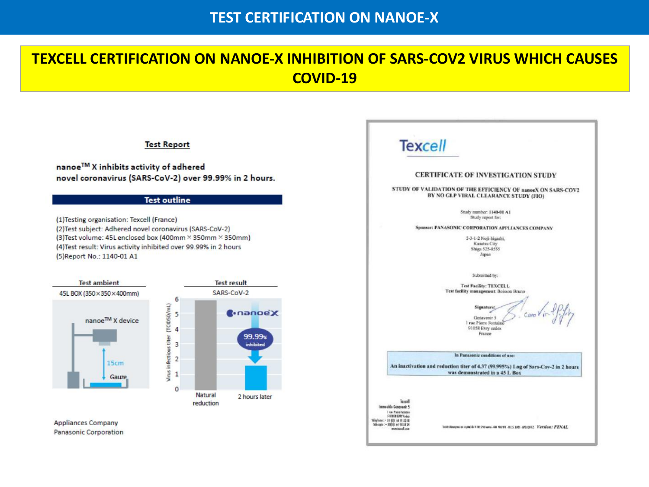### **TEST CERTIFICATION ON NANOE-X**

## **TEXCELL CERTIFICATION ON NANOE-X INHIBITION OF SARS-COV2 VIRUS WHICH CAUSES COVID-19**

**Mechanism of Virus inhibition**

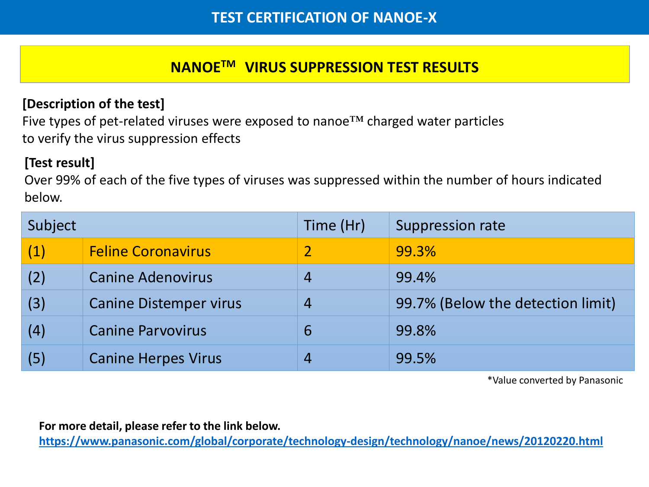# **NANOETM VIRUS SUPPRESSION TEST RESULTS**

#### **Mechanism of Virus inhibition [Description of the test]**

Five types of pet-related viruses were exposed to nanoe™ charged water particles to verify the virus suppression effects

### **[Test result]**

Over 99% of each of the five types of viruses was suppressed within the number of hours indicated below.

| Subject |                               | Time (Hr)      | Suppression rate                  |  |
|---------|-------------------------------|----------------|-----------------------------------|--|
| (1)     | <b>Feline Coronavirus</b>     |                | 99.3%                             |  |
| (2)     | <b>Canine Adenovirus</b>      | 4              | 99.4%                             |  |
| (3)     | <b>Canine Distemper virus</b> | $\overline{4}$ | 99.7% (Below the detection limit) |  |
| (4)     | <b>Canine Parvovirus</b>      | 6              | 99.8%                             |  |
| (5)     | <b>Canine Herpes Virus</b>    | 4              | 99.5%                             |  |

\*Value converted by Panasonic

**For more detail, please refer to the link below.**

**<https://www.panasonic.com/global/corporate/technology-design/technology/nanoe/news/20120220.html>**